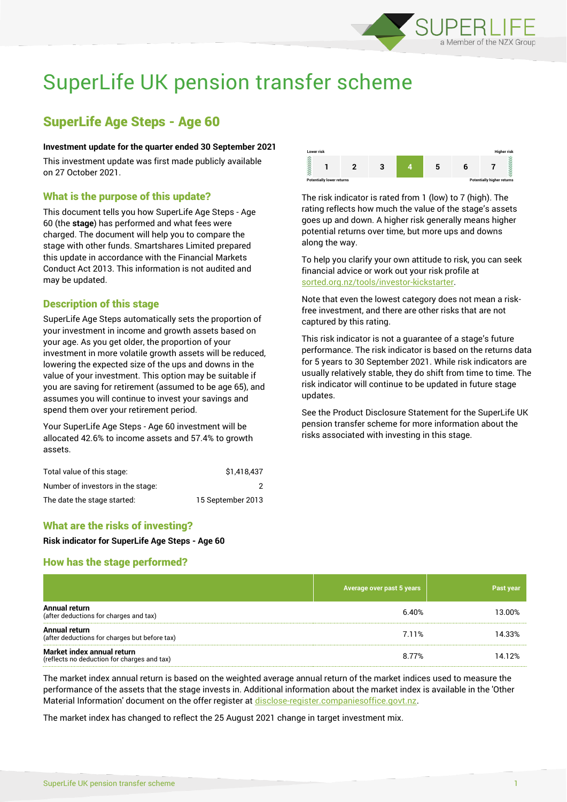

# SuperLife UK pension transfer scheme

# SuperLife Age Steps - Age 60

#### **Investment update for the quarter ended 30 September 2021**

This investment update was first made publicly available on 27 October 2021.

#### What is the purpose of this update?

This document tells you how SuperLife Age Steps - Age 60 (the **stage**) has performed and what fees were charged. The document will help you to compare the stage with other funds. Smartshares Limited prepared this update in accordance with the Financial Markets Conduct Act 2013. This information is not audited and may be updated.

#### Description of this stage

SuperLife Age Steps automatically sets the proportion of your investment in income and growth assets based on your age. As you get older, the proportion of your investment in more volatile growth assets will be reduced, lowering the expected size of the ups and downs in the value of your investment. This option may be suitable if you are saving for retirement (assumed to be age 65), and assumes you will continue to invest your savings and spend them over your retirement period.

Your SuperLife Age Steps - Age 60 investment will be allocated 42.6% to income assets and 57.4% to growth assets.

| Total value of this stage:        | \$1,418,437       |
|-----------------------------------|-------------------|
| Number of investors in the stage: |                   |
| The date the stage started:       | 15 September 2013 |



The risk indicator is rated from 1 (low) to 7 (high). The rating reflects how much the value of the stage's assets goes up and down. A higher risk generally means higher potential returns over time, but more ups and downs along the way.

To help you clarify your own attitude to risk, you can seek financial advice or work out your risk profile at [sorted.org.nz/tools/investor-kickstarter.](http://www.sorted.org.nz/tools/investor-kickstarter)

Note that even the lowest category does not mean a riskfree investment, and there are other risks that are not captured by this rating.

This risk indicator is not a guarantee of a stage's future performance. The risk indicator is based on the returns data for 5 years to 30 September 2021. While risk indicators are usually relatively stable, they do shift from time to time. The risk indicator will continue to be updated in future stage updates.

See the Product Disclosure Statement for the SuperLife UK pension transfer scheme for more information about the risks associated with investing in this stage.

#### What are the risks of investing?

**Risk indicator for SuperLife Age Steps - Age 60**

#### How has the stage performed?

|                                                                           | Average over past 5 years | Past year |
|---------------------------------------------------------------------------|---------------------------|-----------|
| Annual return<br>(after deductions for charges and tax)                   | 6.40%                     | 13.00%    |
| Annual return<br>(after deductions for charges but before tax)            | 7.11%                     | 14.33%    |
| Market index annual return<br>(reflects no deduction for charges and tax) | 8.77%                     | 14.12%    |

The market index annual return is based on the weighted average annual return of the market indices used to measure the performance of the assets that the stage invests in. Additional information about the market index is available in the 'Other Material Information' document on the offer register at [disclose-register.companiesoffice.govt.nz.](http://www.disclose-register.companiesoffice.govt.nz/)

The market index has changed to reflect the 25 August 2021 change in target investment mix.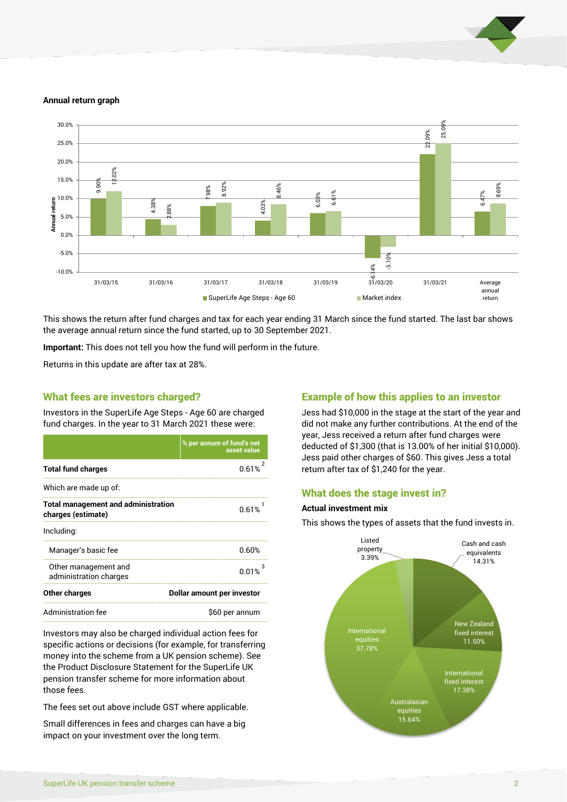

#### **Annual return graph**



This shows the return after fund charges and tax for each year ending 31 March since the fund started. The last bar shows the average annual return since the fund started, up to 30 September 2021.

**Important:** This does not tell you how the fund will perform in the future.

Returns in this update are after tax at 28%.

#### What fees are investors charged?

Investors in the SuperLife Age Steps - Age 60 are charged fund charges. In the year to 31 March 2021 these were:

|                                                                  | % per annum of fund's net<br>asset value |  |
|------------------------------------------------------------------|------------------------------------------|--|
| <b>Total fund charges</b>                                        | 0.61%                                    |  |
| Which are made up of:                                            |                                          |  |
| <b>Total management and administration</b><br>charges (estimate) | 0.61%                                    |  |
| Including:                                                       |                                          |  |
| Manager's basic fee                                              | 0.60%                                    |  |
| Other management and<br>administration charges                   | 0.01%                                    |  |
| <b>Other charges</b>                                             | Dollar amount per investor               |  |
| Administration fee                                               | \$60 per annum                           |  |

Investors may also be charged individual action fees for specific actions or decisions (for example, for transferring money into the scheme from a UK pension scheme). See the Product Disclosure Statement for the SuperLife UK pension transfer scheme for more information about those fees.

The fees set out above include GST where applicable.

Small differences in fees and charges can have a big impact on your investment over the long term.

### Example of how this applies to an investor

Jess had \$10,000 in the stage at the start of the year and did not make any further contributions. At the end of the year, Jess received a return after fund charges were deducted of \$1,300 (that is 13.00% of her initial \$10,000). Jess paid other charges of \$60. This gives Jess a total return after tax of \$1,240 for the year.

#### What does the stage invest in?

#### **Actual investment mix**

This shows the types of assets that the fund invests in.

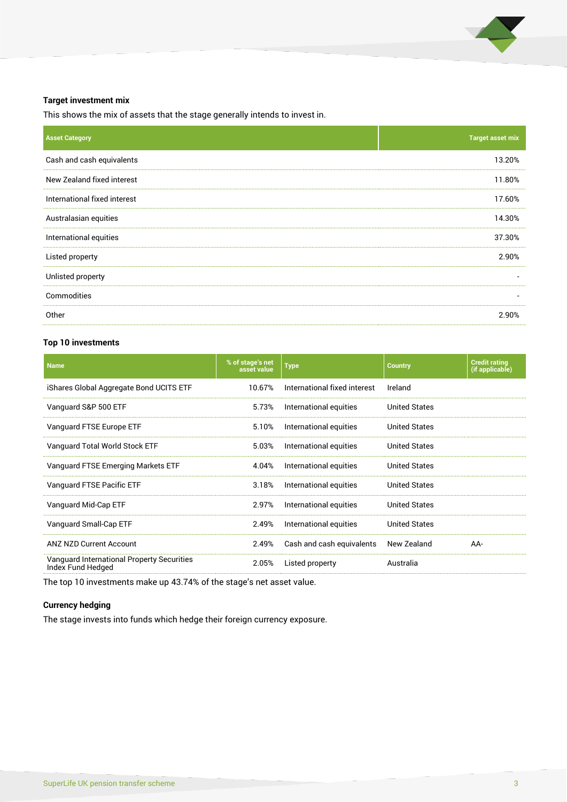

#### **Target investment mix**

This shows the mix of assets that the stage generally intends to invest in.

| <b>Asset Category</b>        | <b>Target asset mix</b>  |
|------------------------------|--------------------------|
| Cash and cash equivalents    | 13.20%                   |
| New Zealand fixed interest   | 11.80%                   |
| International fixed interest | 17.60%                   |
| Australasian equities        | 14.30%                   |
| International equities       | 37.30%                   |
| Listed property              | 2.90%                    |
| Unlisted property            | $\overline{\phantom{a}}$ |
| Commodities                  | $\overline{\phantom{a}}$ |
| Other                        | 2.90%                    |

#### **Top 10 investments**

| <b>Name</b>                                                            | % of stage's net<br>asset value | <b>Type</b>                  | <b>Country</b>       | <b>Credit rating</b><br>(if applicable) |
|------------------------------------------------------------------------|---------------------------------|------------------------------|----------------------|-----------------------------------------|
| iShares Global Aggregate Bond UCITS ETF                                | 10.67%                          | International fixed interest | Ireland              |                                         |
| Vanguard S&P 500 ETF                                                   | 5.73%                           | International equities       | <b>United States</b> |                                         |
| Vanguard FTSE Europe ETF                                               | 5.10%                           | International equities       | <b>United States</b> |                                         |
| Vanguard Total World Stock ETF                                         | 5.03%                           | International equities       | <b>United States</b> |                                         |
| Vanguard FTSE Emerging Markets ETF                                     | 4.04%                           | International equities       | <b>United States</b> |                                         |
| Vanguard FTSE Pacific ETF                                              | 3.18%                           | International equities       | <b>United States</b> |                                         |
| Vanguard Mid-Cap ETF                                                   | 2.97%                           | International equities       | <b>United States</b> |                                         |
| Vanguard Small-Cap ETF                                                 | 2.49%                           | International equities       | <b>United States</b> |                                         |
| ANZ NZD Current Account                                                | 2.49%                           | Cash and cash equivalents    | New Zealand          | AA-                                     |
| <b>Vanguard International Property Securities</b><br>Index Fund Hedged | 2.05%                           | Listed property              | Australia            |                                         |

The top 10 investments make up 43.74% of the stage's net asset value.

#### **Currency hedging**

The stage invests into funds which hedge their foreign currency exposure.